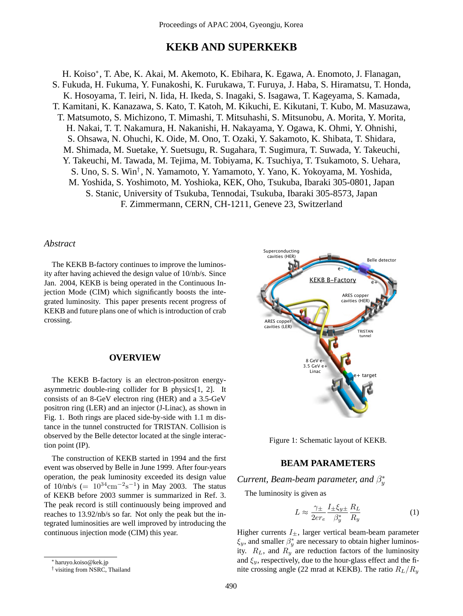# **KEKB AND SUPERKEKB**

H. Koiso<sup>∗</sup>, T. Abe, K. Akai, M. Akemoto, K. Ebihara, K. Egawa, A. Enomoto, J. Flanagan, S. Fukuda, H. Fukuma, Y. Funakoshi, K. Furukawa, T. Furuya, J. Haba, S. Hiramatsu, T. Honda, K. Hosoyama, T. Ieiri, N. Iida, H. Ikeda, S. Inagaki, S. Isagawa, T. Kageyama, S. Kamada, T. Kamitani, K. Kanazawa, S. Kato, T. Katoh, M. Kikuchi, E. Kikutani, T. Kubo, M. Masuzawa, T. Matsumoto, S. Michizono, T. Mimashi, T. Mitsuhashi, S. Mitsunobu, A. Morita, Y. Morita, H. Nakai, T. T. Nakamura, H. Nakanishi, H. Nakayama, Y. Ogawa, K. Ohmi, Y. Ohnishi, S. Ohsawa, N. Ohuchi, K. Oide, M. Ono, T. Ozaki, Y. Sakamoto, K. Shibata, T. Shidara, M. Shimada, M. Suetake, Y. Suetsugu, R. Sugahara, T. Sugimura, T. Suwada, Y. Takeuchi, Y. Takeuchi, M. Tawada, M. Tejima, M. Tobiyama, K. Tsuchiya, T. Tsukamoto, S. Uehara, S. Uno, S. S. Win† , N. Yamamoto, Y. Yamamoto, Y. Yano, K. Yokoyama, M. Yoshida, M. Yoshida, S. Yoshimoto, M. Yoshioka, KEK, Oho, Tsukuba, Ibaraki 305-0801, Japan S. Stanic, University of Tsukuba, Tennodai, Tsukuba, Ibaraki 305-8573, Japan F. Zimmermann, CERN, CH-1211, Geneve 23, Switzerland

### *Abstract*

The KEKB B-factory continues to improve the luminosity after having achieved the design value of 10/nb/s. Since Jan. 2004, KEKB is being operated in the Continuous Injection Mode (CIM) which significantly boosts the integrated luminosity. This paper presents recent progress of KEKB and future plans one of which is introduction of crab crossing.

### **OVERVIEW**

The KEKB B-factory is an electron-positron energyasymmetric double-ring collider for B physics[1, 2]. It consists of an 8-GeV electron ring (HER) and a 3.5-GeV positron ring (LER) and an injector (J-Linac), as shown in Fig. 1. Both rings are placed side-by-side with 1.1 m distance in the tunnel constructed for TRISTAN. Collision is observed by the Belle detector located at the single interaction point (IP).

The construction of KEKB started in 1994 and the first event was observed by Belle in June 1999. After four-years operation, the peak luminosity exceeded its design value of 10/nb/s (=  $10^{34}$ cm<sup>-2</sup>s<sup>-1</sup>) in May 2003. The status of KEKB before 2003 summer is summarized in Ref. 3. The peak record is still continuously being improved and reaches to 13.92/nb/s so far. Not only the peak but the integrated luminosities are well improved by introducing the continuous injection mode (CIM) this year.



Figure 1: Schematic layout of KEKB.

## **BEAM PARAMETERS**

*Current, Beam-beam parameter, and*  $\beta_y^*$ 

The luminosity is given as

$$
L \approx \frac{\gamma_{\pm}}{2er_e} \frac{I_{\pm} \xi_{y \pm}}{\beta_y^*} \frac{R_L}{R_y} \tag{1}
$$

Higher currents  $I_{\pm}$ , larger vertical beam-beam parameter  $\xi_y$ , and smaller  $\beta_y^*$  are necessary to obtain higher luminosity.  $R_L$ , and  $R_y$  are reduction factors of the luminosity and  $\xi_y$ , respectively, due to the hour-glass effect and the finite crossing angle (22 mrad at KEKB). The ratio  $R_L/R_y$ 

<sup>∗</sup> haruyo.koiso@kek.jp

<sup>†</sup> visiting from NSRC, Thailand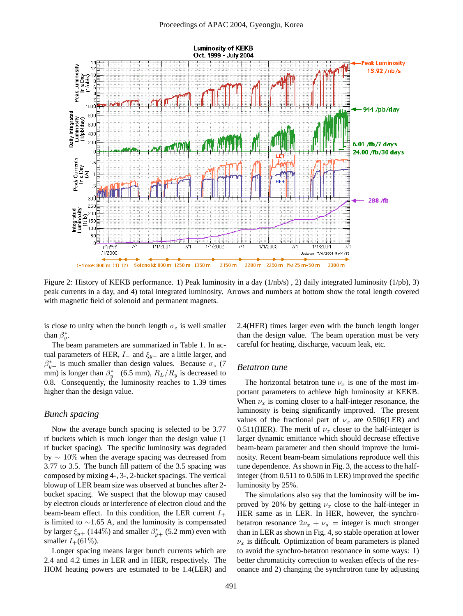

Figure 2: History of KEKB performance. 1) Peak luminosity in a day (1/nb/s) , 2) daily integrated luminosity (1/pb), 3) peak currents in a day, and 4) total integrated luminosity. Arrows and numbers at bottom show the total length covered with magnetic field of solenoid and permanent magnets.

is close to unity when the bunch length  $\sigma_z$  is well smaller than  $\beta_y^*$ .

The beam parameters are summarized in Table 1. In actual parameters of HER,  $I_$  and  $\xi_{y-}$  are a little larger, and  $\beta_{y-}^*$  is much smaller than design values. Because  $\sigma_z$  (7) mm) is longer than  $\beta_{y-}^*$  (6.5 mm),  $R_L/R_y$  is decreased to 0.8. Consequently, the luminosity reaches to 1.39 times higher than the design value.

### *Bunch spacing*

Now the average bunch spacing is selected to be 3.77 rf buckets which is much longer than the design value (1 rf bucket spacing). The specific luminosity was degraded by ∼ 10% when the average spacing was decreased from 3.77 to 3.5. The bunch fill pattern of the 3.5 spacing was composed by mixing 4-, 3-, 2-bucket spacings. The vertical blowup of LER beam size was observed at bunches after 2 bucket spacing. We suspect that the blowup may caused by electron clouds or interference of electron cloud and the beam-beam effect. In this condition, the LER current  $I_+$ is limited to  $\sim$ 1.65 A, and the luminosity is compensated by larger  $\xi_{y+}$  (144%) and smaller  $\beta^*_{y+}$  (5.2 mm) even with smaller  $I_+(61\%).$ 

Longer spacing means larger bunch currents which are 2.4 and 4.2 times in LER and in HER, respectively. The HOM heating powers are estimated to be 1.4(LER) and 2.4(HER) times larger even with the bunch length longer than the design value. The beam operation must be very careful for heating, discharge, vacuum leak, etc.

#### *Betatron tune*

The horizontal betatron tune  $\nu_x$  is one of the most important parameters to achieve high luminosity at KEKB. When  $\nu_x$  is coming closer to a half-integer resonance, the luminosity is being significantly improved. The present values of the fractional part of  $\nu_x$  are 0.506(LER) and 0.511(HER). The merit of  $\nu_x$  closer to the half-integer is larger dynamic emittance which should decrease effective beam-beam parameter and then should improve the luminosity. Recent beam-beam simulations reproduce well this tune dependence. As shown in Fig. 3, the access to the halfinteger (from 0.511 to 0.506 in LER) improved the specific luminosity by 25%.

The simulations also say that the luminosity will be improved by 20% by getting  $\nu_x$  close to the half-integer in HER same as in LER. In HER, however, the synchrobetatron resonance  $2v_x + v_s =$  integer is much stronger than in LER as shown in Fig. 4, so stable operation at lower  $\nu_x$  is difficult. Optimization of beam parameters is planed to avoid the synchro-betatron resonance in some ways: 1) better chromaticity correction to weaken effects of the resonance and 2) changing the synchrotron tune by adjusting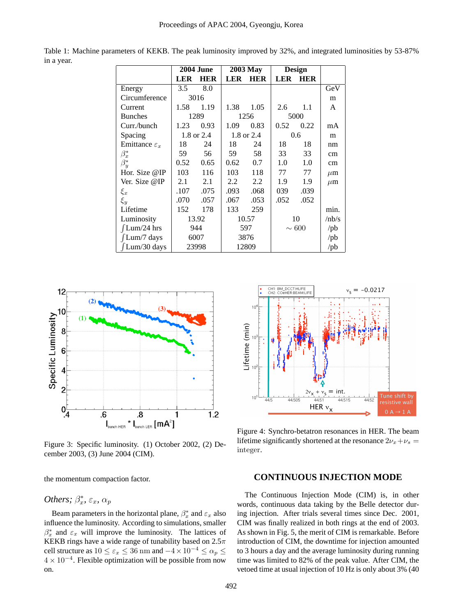|                           | <b>2004 June</b> |            | <b>2003 May</b> |            | <b>Design</b> |            |                        |
|---------------------------|------------------|------------|-----------------|------------|---------------|------------|------------------------|
|                           | LER              | HER        | <b>LER</b>      | <b>HER</b> | LER           | <b>HER</b> |                        |
| Energy                    | 3.5              | 8.0        |                 |            |               |            | GeV                    |
| Circumference             | 3016             |            |                 |            |               |            | m                      |
| Current                   | 1.58             | 1.19       | 1.38            | 1.05       | 2.6           | 1.1        | A                      |
| <b>Bunches</b>            | 1289             |            | 1256            |            | 5000          |            |                        |
| Curr./bunch               | 1.23             | 0.93       | 1.09            | 0.83       | 0.52          | 0.22       | mA                     |
| Spacing                   |                  | 1.8 or 2.4 | 1.8 or 2.4      |            | 0.6           |            | m                      |
| Emittance $\varepsilon_x$ | 18               | 24         | 18              | 24         | 18            | 18         | nm                     |
| $\beta_x^*$               | 59               | 56         | 59              | 58         | 33            | 33         | cm                     |
| $\beta^*_u$               | 0.52             | 0.65       | 0.62            | 0.7        | 1.0           | 1.0        | cm                     |
| Hor. Size $@IP$           | 103              | 116        | 103             | 118        | 77            | 77         | $\mu$ m                |
| Ver. Size @IP             | 2.1              | 2.1        | 2.2             | 2.2        | 1.9           | 1.9        | $\mu$ m                |
| $\xi_x$                   | .107             | .075       | .093            | .068       | 039           | .039       |                        |
| $\xi_y$                   | .070             | .057       | .067            | .053       | .052          | .052       |                        |
| Lifetime                  | 152              | 178        | 133             | 259        |               |            | min.                   |
| Luminosity                |                  | 13.92      |                 | 10.57      |               | 10         | /nb/s                  |
| $\int$ Lum/24 hrs         |                  | 944        |                 | 597        |               | $\sim 600$ | $\mathsf{p}\mathsf{b}$ |
| $\int$ Lum/7 days         |                  | 6007       |                 | 3876       |               |            | $\mathsf{p}\mathsf{b}$ |
| $\int$ Lum/30 days        |                  | 23998      |                 | 12809      |               |            | $\mathsf{p}\mathsf{b}$ |

Table 1: Machine parameters of KEKB. The peak luminosity improved by 32%, and integrated luminosities by 53-87% in a year.



Figure 3: Specific luminosity. (1) October 2002, (2) December 2003, (3) June 2004 (CIM).

the momentum compaction factor.

# *Others;*  $\beta_x^*$ ,  $\varepsilon_x$ ,  $\alpha_p$

Beam parameters in the horizontal plane,  $\beta_x^*$  and  $\varepsilon_x$  also influence the luminosity. According to simulations, smaller  $\beta_x^*$  and  $\varepsilon_x$  will improve the luminosity. The lattices of KEKB rings have a wide range of tunability based on  $2.5\pi$ cell structure as  $10 \leq \varepsilon_x \leq 36$  nm and  $-4 \times 10^{-4} \leq \alpha_p \leq$  $4 \times 10^{-4}$ . Flexible optimization will be possible from now on.



Figure 4: Synchro-betatron resonances in HER. The beam lifetime significantly shortened at the resonance  $2v_x + v_s =$ integer.

# **CONTINUOUS INJECTION MODE**

The Continuous Injection Mode (CIM) is, in other words, continuous data taking by the Belle detector during injection. After trials several times since Dec. 2001, CIM was finally realized in both rings at the end of 2003. As shown in Fig. 5, the merit of CIM is remarkable. Before introduction of CIM, the downtime for injection amounted to 3 hours a day and the average luminosity during running time was limited to 82% of the peak value. After CIM, the vetoed time at usual injection of 10 Hz is only about 3% (40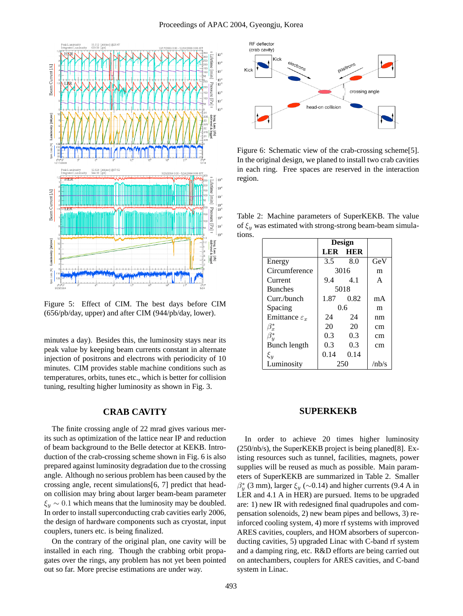

Figure 5: Effect of CIM. The best days before CIM (656/pb/day, upper) and after CIM (944/pb/day, lower).

minutes a day). Besides this, the luminosity stays near its peak value by keeping beam currents constant in alternate injection of positrons and electrons with periodicity of 10 minutes. CIM provides stable machine conditions such as temperatures, orbits, tunes etc., which is better for collision tuning, resulting higher luminosity as shown in Fig. 3.

### **CRAB CAVITY**

The finite crossing angle of 22 mrad gives various merits such as optimization of the lattice near IP and reduction of beam background to the Belle detector at KEKB. Introduction of the crab-crossing scheme shown in Fig. 6 is also prepared against luminosity degradation due to the crossing angle. Although no serious problem has been caused by the crossing angle, recent simulations[6, 7] predict that headon collision may bring about larger beam-beam parameter  $\xi_y \sim 0.1$  which means that the luminosity may be doubled. In order to install superconducting crab cavities early 2006, the design of hardware components such as cryostat, input couplers, tuners etc. is being finalized.

On the contrary of the original plan, one cavity will be installed in each ring. Though the crabbing orbit propagates over the rings, any problem has not yet been pointed out so far. More precise estimations are under way.



Figure 6: Schematic view of the crab-crossing scheme[5]. In the original design, we planed to install two crab cavities in each ring. Free spaces are reserved in the interaction region.

Table 2: Machine parameters of SuperKEKB. The value of  $\xi_y$  was estimated with strong-strong beam-beam simulations.

|                           | Design  |           |       |
|---------------------------|---------|-----------|-------|
|                           |         | LER HER   |       |
| Energy                    | $3.5 -$ | 8.0       | GeV   |
| Circumference             | 3016    |           | m     |
| Current                   | 9.4 4.1 |           | A     |
| <b>Bunches</b>            | 5018    |           |       |
| Curr./bunch               |         | 1.87 0.82 | mA    |
| Spacing                   | 0.6     |           | m     |
| Emittance $\varepsilon_x$ | 24      | 24        | nm    |
| $\beta_x^*$               | 20      | 20        | cm    |
| $\beta^*_u$               | $0.3 -$ | 0.3       | cm    |
| Bunch length              | $0.3 -$ | 0.3       | cm    |
| $\xi_y$                   | 0.14    | 0.14      |       |
| Luminosity                | 250     |           | /nh/s |

### **SUPERKEKB**

In order to achieve 20 times higher luminosity (250/nb/s), the SuperKEKB project is being planed[8]. Existing resources such as tunnel, facilities, magnets, power supplies will be reused as much as possible. Main parameters of SuperKEKB are summarized in Table 2. Smaller  $\beta_y^*$  (3 mm), larger  $\xi_y$  (~0.14) and higher currents (9.4 A in LER and 4.1 A in HER) are pursued. Items to be upgraded are: 1) new IR with redesigned final quadrupoles and compensation solenoids, 2) new beam pipes and bellows, 3) reinforced cooling system, 4) more rf systems with improved ARES cavities, couplers, and HOM absorbers of superconducting cavities, 5) upgraded Linac with C-band rf system and a damping ring, etc. R&D efforts are being carried out on antechambers, couplers for ARES cavities, and C-band system in Linac.